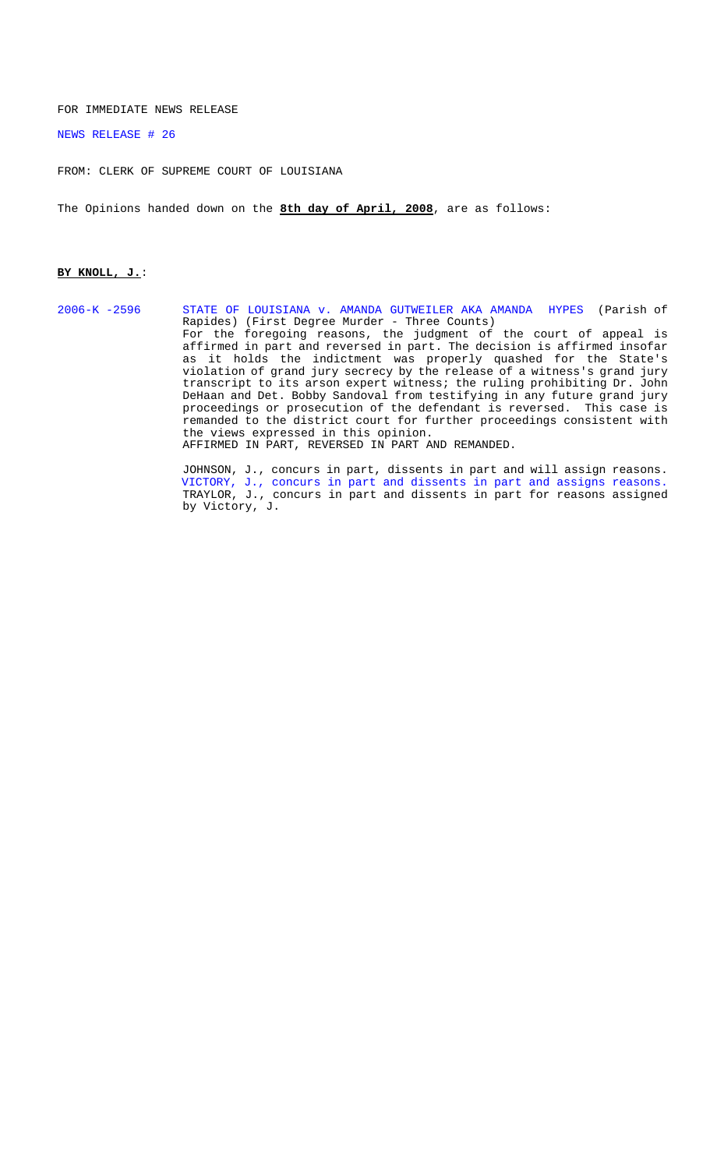#### FOR IMMEDIATE NEWS RELEASE

#### [NEWS RELEASE # 26](http://www.lasc.org/Opinions?p=2008-026)

FROM: CLERK OF SUPREME COURT OF LOUISIANA

The Opinions handed down on the **8th day of April, 2008**, are as follows:

#### **BY KNOLL, J.**:

[2006-K -2596 STATE OF LOUISIANA v. AMANDA GUTWEILER AKA AMANDA HYPES \(](#page-1-0)Parish of Rapides) (First Degree Murder - Three Counts) For the foregoing reasons, the judgment of the court of appeal is affirmed in part and reversed in part. The decision is affirmed insofar as it holds the indictment was properly quashed for the State's violation of grand jury secrecy by the release of a witness's grand jury transcript to its arson expert witness; the ruling prohibiting Dr. John DeHaan and Det. Bobby Sandoval from testifying in any future grand jury proceedings or prosecution of the defendant is reversed. This case is remanded to the district court for further proceedings consistent with the views expressed in this opinion. AFFIRMED IN PART, REVERSED IN PART AND REMANDED.

JOHNSON, J., concurs in part, dissents in part and will assign reasons. [VICTORY, J., concurs in part and dissents in part and assigns reasons.](#page-24-0) TRAYLOR, J., concurs in part and dissents in part for reasons assigned by Victory, J.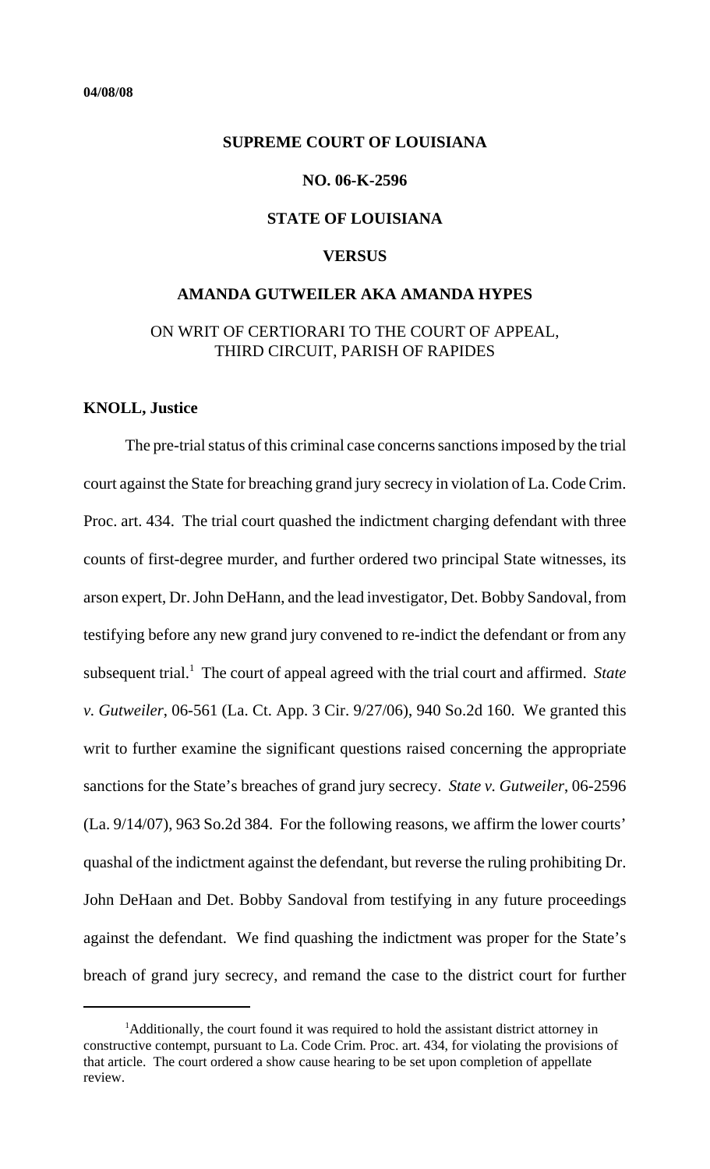### <span id="page-1-0"></span>**SUPREME COURT OF LOUISIANA**

#### **NO. 06-K-2596**

## **STATE OF LOUISIANA**

## **VERSUS**

# **AMANDA GUTWEILER AKA AMANDA HYPES**

## ON WRIT OF CERTIORARI TO THE COURT OF APPEAL, THIRD CIRCUIT, PARISH OF RAPIDES

## **KNOLL, Justice**

The pre-trial status of this criminal case concerns sanctions imposed by the trial court against the State for breaching grand jury secrecy in violation of La. Code Crim. Proc. art. 434. The trial court quashed the indictment charging defendant with three counts of first-degree murder, and further ordered two principal State witnesses, its arson expert, Dr. John DeHann, and the lead investigator, Det. Bobby Sandoval, from testifying before any new grand jury convened to re-indict the defendant or from any subsequent trial.<sup>1</sup> The court of appeal agreed with the trial court and affirmed. State *v. Gutweiler*, 06-561 (La. Ct. App. 3 Cir. 9/27/06), 940 So.2d 160. We granted this writ to further examine the significant questions raised concerning the appropriate sanctions for the State's breaches of grand jury secrecy. *State v. Gutweiler*, 06-2596 (La. 9/14/07), 963 So.2d 384. For the following reasons, we affirm the lower courts' quashal of the indictment against the defendant, but reverse the ruling prohibiting Dr. John DeHaan and Det. Bobby Sandoval from testifying in any future proceedings against the defendant. We find quashing the indictment was proper for the State's breach of grand jury secrecy, and remand the case to the district court for further

<sup>&</sup>lt;sup>1</sup>Additionally, the court found it was required to hold the assistant district attorney in constructive contempt, pursuant to La. Code Crim. Proc. art. 434, for violating the provisions of that article. The court ordered a show cause hearing to be set upon completion of appellate review.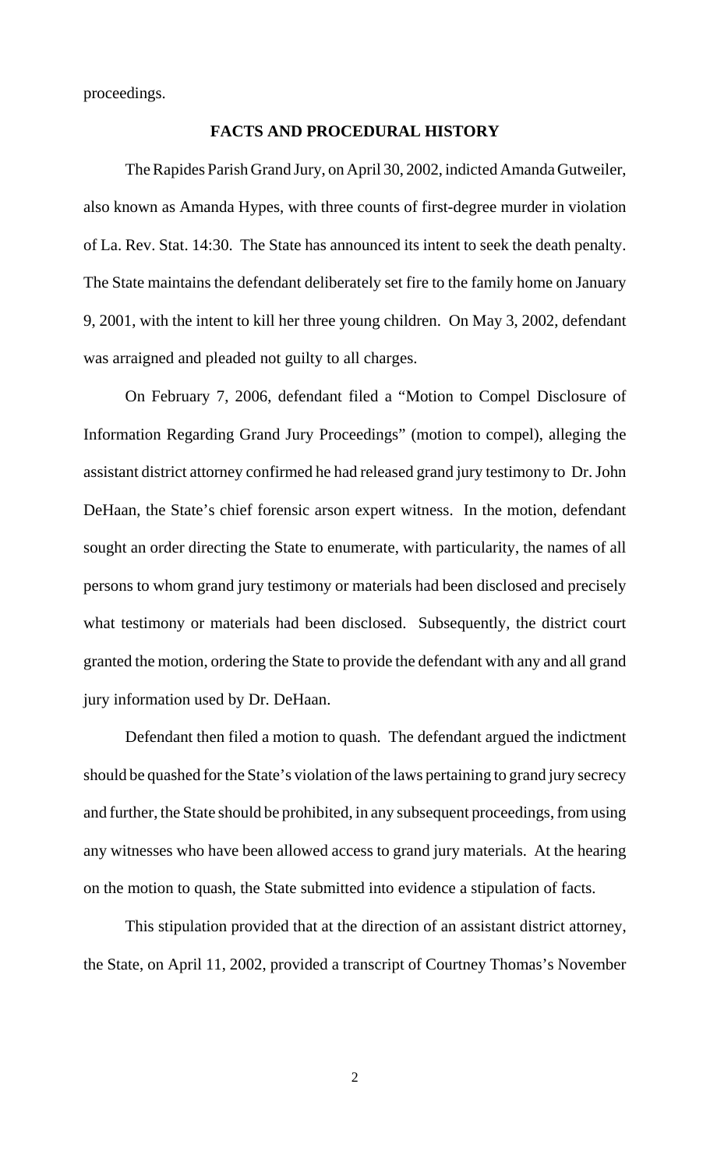proceedings.

## **FACTS AND PROCEDURAL HISTORY**

The Rapides Parish Grand Jury, on April 30, 2002, indicted Amanda Gutweiler, also known as Amanda Hypes, with three counts of first-degree murder in violation of La. Rev. Stat. 14:30. The State has announced its intent to seek the death penalty. The State maintains the defendant deliberately set fire to the family home on January 9, 2001, with the intent to kill her three young children. On May 3, 2002, defendant was arraigned and pleaded not guilty to all charges.

On February 7, 2006, defendant filed a "Motion to Compel Disclosure of Information Regarding Grand Jury Proceedings" (motion to compel), alleging the assistant district attorney confirmed he had released grand jury testimony to Dr. John DeHaan, the State's chief forensic arson expert witness. In the motion, defendant sought an order directing the State to enumerate, with particularity, the names of all persons to whom grand jury testimony or materials had been disclosed and precisely what testimony or materials had been disclosed. Subsequently, the district court granted the motion, ordering the State to provide the defendant with any and all grand jury information used by Dr. DeHaan.

Defendant then filed a motion to quash. The defendant argued the indictment should be quashed for the State's violation of the laws pertaining to grand jury secrecy and further, the State should be prohibited, in any subsequent proceedings, from using any witnesses who have been allowed access to grand jury materials. At the hearing on the motion to quash, the State submitted into evidence a stipulation of facts.

This stipulation provided that at the direction of an assistant district attorney, the State, on April 11, 2002, provided a transcript of Courtney Thomas's November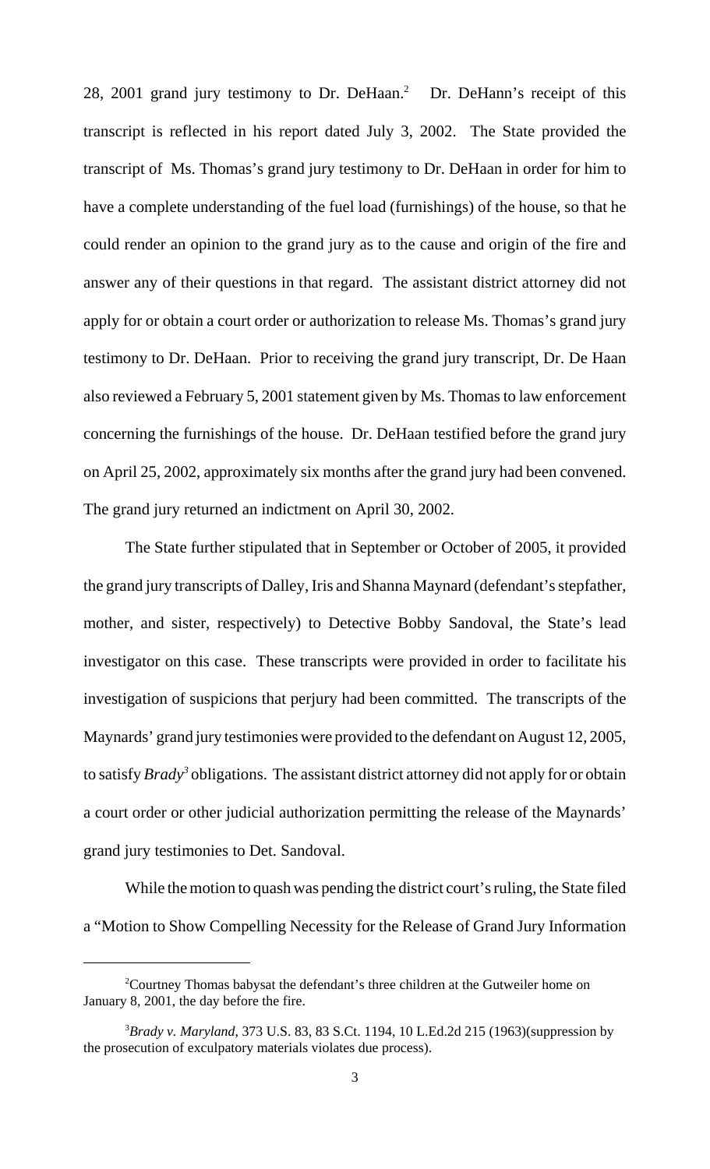28, 2001 grand jury testimony to Dr. DeHaan.<sup>2</sup> Dr. DeHann's receipt of this transcript is reflected in his report dated July 3, 2002. The State provided the transcript of Ms. Thomas's grand jury testimony to Dr. DeHaan in order for him to have a complete understanding of the fuel load (furnishings) of the house, so that he could render an opinion to the grand jury as to the cause and origin of the fire and answer any of their questions in that regard. The assistant district attorney did not apply for or obtain a court order or authorization to release Ms. Thomas's grand jury testimony to Dr. DeHaan. Prior to receiving the grand jury transcript, Dr. De Haan also reviewed a February 5, 2001 statement given by Ms. Thomas to law enforcement concerning the furnishings of the house. Dr. DeHaan testified before the grand jury on April 25, 2002, approximately six months after the grand jury had been convened. The grand jury returned an indictment on April 30, 2002.

The State further stipulated that in September or October of 2005, it provided the grand jury transcripts of Dalley, Iris and Shanna Maynard (defendant's stepfather, mother, and sister, respectively) to Detective Bobby Sandoval, the State's lead investigator on this case. These transcripts were provided in order to facilitate his investigation of suspicions that perjury had been committed. The transcripts of the Maynards' grand jury testimonies were provided to the defendant on August 12, 2005, to satisfy *Brady*<sup>3</sup> obligations. The assistant district attorney did not apply for or obtain a court order or other judicial authorization permitting the release of the Maynards' grand jury testimonies to Det. Sandoval.

While the motion to quash was pending the district court's ruling, the State filed a "Motion to Show Compelling Necessity for the Release of Grand Jury Information

<sup>&</sup>lt;sup>2</sup>Courtney Thomas babysat the defendant's three children at the Gutweiler home on January 8, 2001, the day before the fire.

<sup>3</sup> *Brady v. Maryland*, 373 U.S. 83, 83 S.Ct. 1194, 10 L.Ed.2d 215 (1963)(suppression by the prosecution of exculpatory materials violates due process).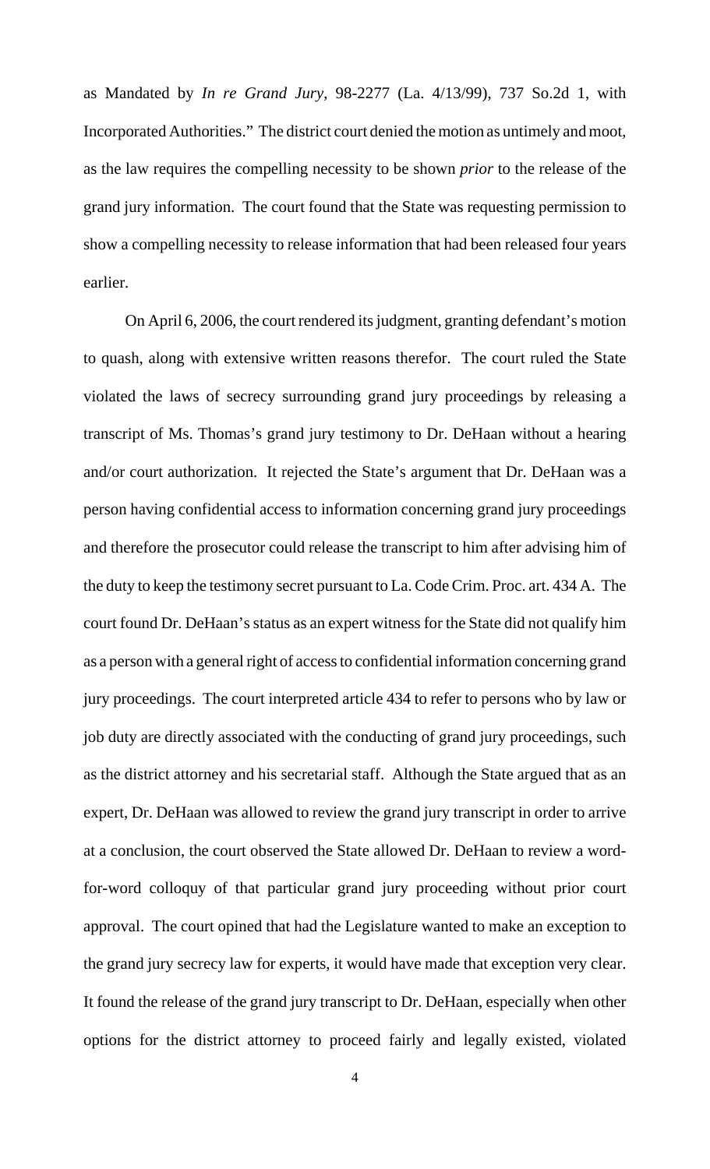as Mandated by *In re Grand Jury*, 98-2277 (La. 4/13/99), 737 So.2d 1, with Incorporated Authorities." The district court denied the motion as untimely and moot, as the law requires the compelling necessity to be shown *prior* to the release of the grand jury information. The court found that the State was requesting permission to show a compelling necessity to release information that had been released four years earlier.

On April 6, 2006, the court rendered its judgment, granting defendant's motion to quash, along with extensive written reasons therefor. The court ruled the State violated the laws of secrecy surrounding grand jury proceedings by releasing a transcript of Ms. Thomas's grand jury testimony to Dr. DeHaan without a hearing and/or court authorization. It rejected the State's argument that Dr. DeHaan was a person having confidential access to information concerning grand jury proceedings and therefore the prosecutor could release the transcript to him after advising him of the duty to keep the testimony secret pursuant to La. Code Crim. Proc. art. 434 A. The court found Dr. DeHaan's status as an expert witness for the State did not qualify him as a person with a general right of access to confidential information concerning grand jury proceedings. The court interpreted article 434 to refer to persons who by law or job duty are directly associated with the conducting of grand jury proceedings, such as the district attorney and his secretarial staff. Although the State argued that as an expert, Dr. DeHaan was allowed to review the grand jury transcript in order to arrive at a conclusion, the court observed the State allowed Dr. DeHaan to review a wordfor-word colloquy of that particular grand jury proceeding without prior court approval. The court opined that had the Legislature wanted to make an exception to the grand jury secrecy law for experts, it would have made that exception very clear. It found the release of the grand jury transcript to Dr. DeHaan, especially when other options for the district attorney to proceed fairly and legally existed, violated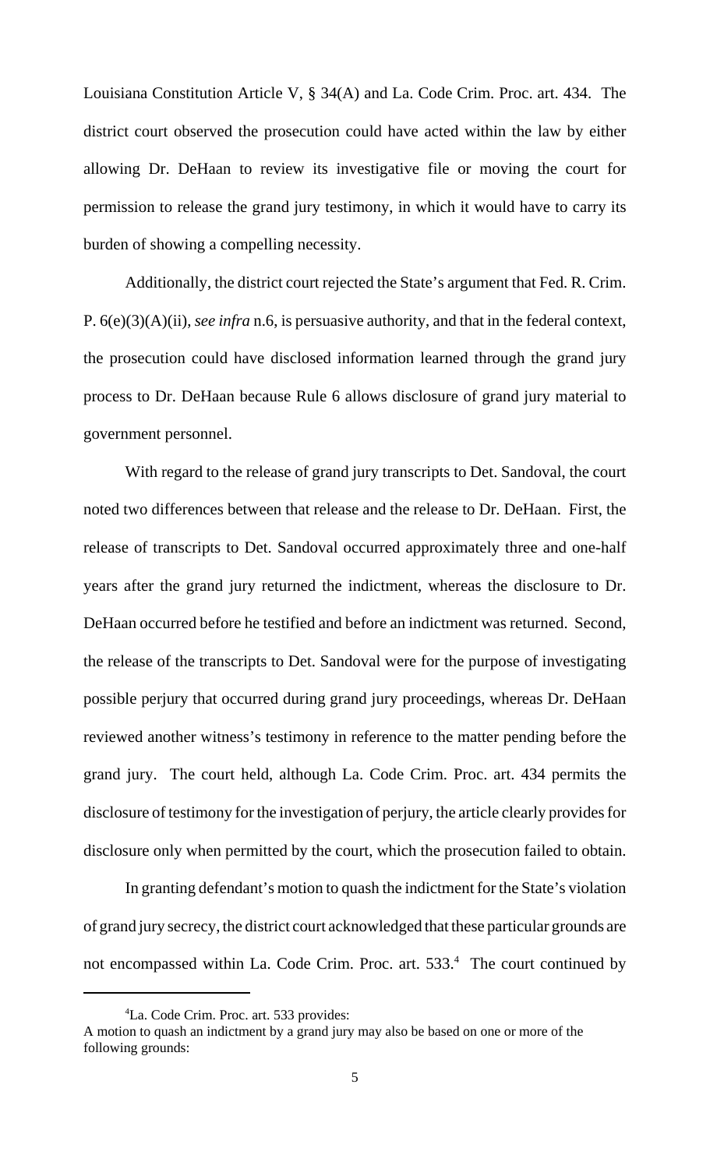Louisiana Constitution Article V, § 34(A) and La. Code Crim. Proc. art. 434. The district court observed the prosecution could have acted within the law by either allowing Dr. DeHaan to review its investigative file or moving the court for permission to release the grand jury testimony, in which it would have to carry its burden of showing a compelling necessity.

Additionally, the district court rejected the State's argument that Fed. R. Crim. P. 6(e)(3)(A)(ii), *see infra* n.6, is persuasive authority, and that in the federal context, the prosecution could have disclosed information learned through the grand jury process to Dr. DeHaan because Rule 6 allows disclosure of grand jury material to government personnel.

With regard to the release of grand jury transcripts to Det. Sandoval, the court noted two differences between that release and the release to Dr. DeHaan. First, the release of transcripts to Det. Sandoval occurred approximately three and one-half years after the grand jury returned the indictment, whereas the disclosure to Dr. DeHaan occurred before he testified and before an indictment was returned. Second, the release of the transcripts to Det. Sandoval were for the purpose of investigating possible perjury that occurred during grand jury proceedings, whereas Dr. DeHaan reviewed another witness's testimony in reference to the matter pending before the grand jury. The court held, although La. Code Crim. Proc. art. 434 permits the disclosure of testimony for the investigation of perjury, the article clearly provides for disclosure only when permitted by the court, which the prosecution failed to obtain.

In granting defendant's motion to quash the indictment for the State's violation of grand jury secrecy, the district court acknowledged that these particular grounds are not encompassed within La. Code Crim. Proc. art. 533.<sup>4</sup> The court continued by

<sup>4</sup> La. Code Crim. Proc. art. 533 provides:

A motion to quash an indictment by a grand jury may also be based on one or more of the following grounds: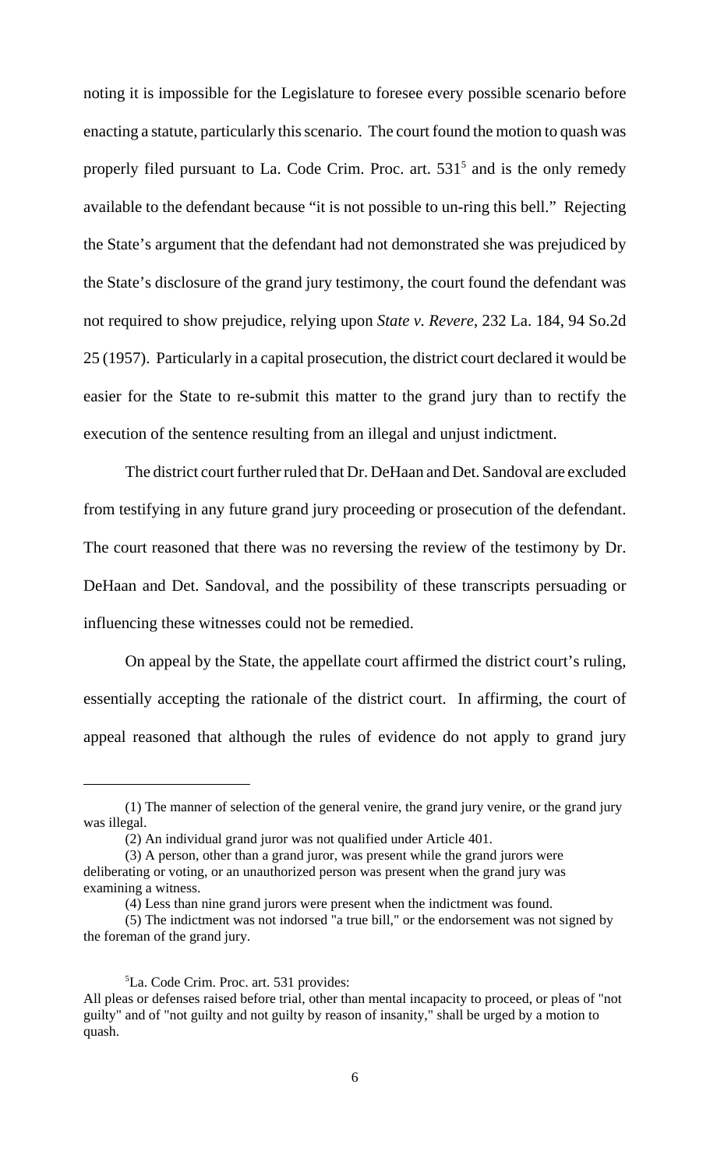noting it is impossible for the Legislature to foresee every possible scenario before enacting a statute, particularly this scenario. The court found the motion to quash was properly filed pursuant to La. Code Crim. Proc. art.  $531<sup>5</sup>$  and is the only remedy available to the defendant because "it is not possible to un-ring this bell." Rejecting the State's argument that the defendant had not demonstrated she was prejudiced by the State's disclosure of the grand jury testimony, the court found the defendant was not required to show prejudice, relying upon *State v. Revere*, 232 La. 184, 94 So.2d 25 (1957). Particularly in a capital prosecution, the district court declared it would be easier for the State to re-submit this matter to the grand jury than to rectify the execution of the sentence resulting from an illegal and unjust indictment.

The district court further ruled that Dr. DeHaan and Det. Sandoval are excluded from testifying in any future grand jury proceeding or prosecution of the defendant. The court reasoned that there was no reversing the review of the testimony by Dr. DeHaan and Det. Sandoval, and the possibility of these transcripts persuading or influencing these witnesses could not be remedied.

On appeal by the State, the appellate court affirmed the district court's ruling, essentially accepting the rationale of the district court. In affirming, the court of appeal reasoned that although the rules of evidence do not apply to grand jury

5 La. Code Crim. Proc. art. 531 provides: All pleas or defenses raised before trial, other than mental incapacity to proceed, or pleas of "not guilty" and of "not guilty and not guilty by reason of insanity," shall be urged by a motion to quash.

<sup>(1)</sup> The manner of selection of the general venire, the grand jury venire, or the grand jury was illegal.

<sup>(2)</sup> An individual grand juror was not qualified under Article 401.

<sup>(3)</sup> A person, other than a grand juror, was present while the grand jurors were deliberating or voting, or an unauthorized person was present when the grand jury was examining a witness.

<sup>(4)</sup> Less than nine grand jurors were present when the indictment was found.

<sup>(5)</sup> The indictment was not indorsed "a true bill," or the endorsement was not signed by the foreman of the grand jury.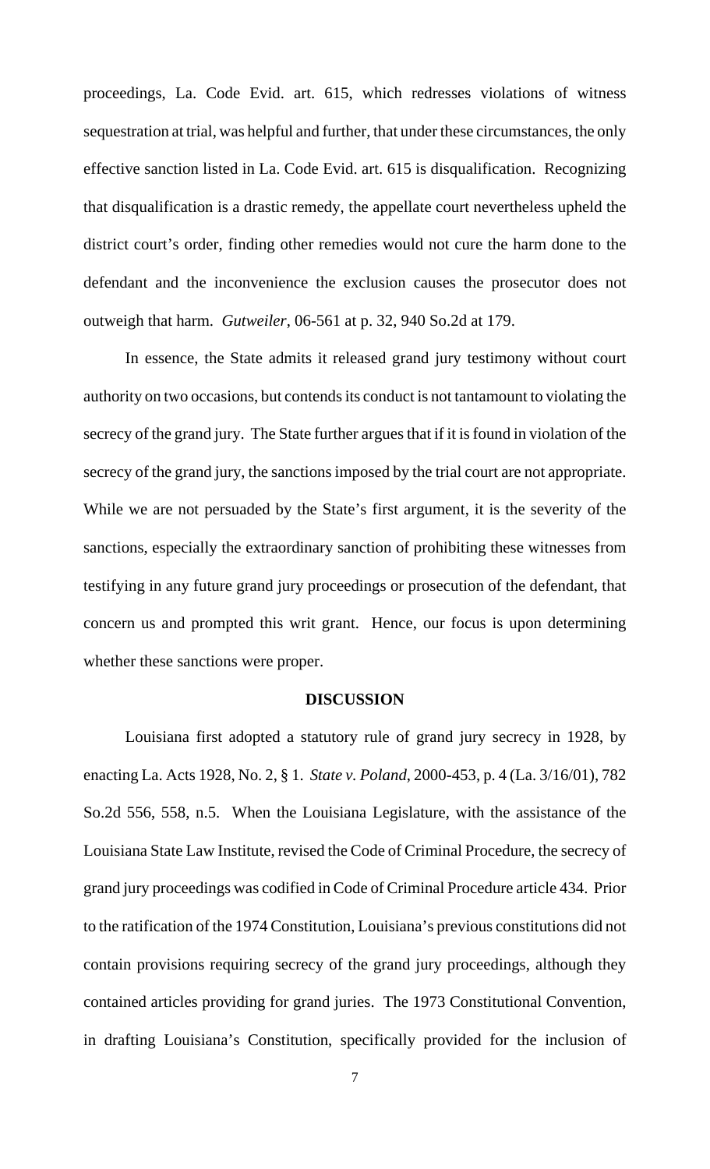proceedings, La. Code Evid. art. 615, which redresses violations of witness sequestration at trial, was helpful and further, that under these circumstances, the only effective sanction listed in La. Code Evid. art. 615 is disqualification. Recognizing that disqualification is a drastic remedy, the appellate court nevertheless upheld the district court's order, finding other remedies would not cure the harm done to the defendant and the inconvenience the exclusion causes the prosecutor does not outweigh that harm. *Gutweiler*, 06-561 at p. 32, 940 So.2d at 179.

In essence, the State admits it released grand jury testimony without court authority on two occasions, but contends its conduct is not tantamount to violating the secrecy of the grand jury. The State further argues that if it is found in violation of the secrecy of the grand jury, the sanctions imposed by the trial court are not appropriate. While we are not persuaded by the State's first argument, it is the severity of the sanctions, especially the extraordinary sanction of prohibiting these witnesses from testifying in any future grand jury proceedings or prosecution of the defendant, that concern us and prompted this writ grant. Hence, our focus is upon determining whether these sanctions were proper.

#### **DISCUSSION**

Louisiana first adopted a statutory rule of grand jury secrecy in 1928, by enacting La. Acts 1928, No. 2, § 1. *State v. Poland*, 2000-453, p. 4 (La. 3/16/01), 782 So.2d 556, 558, n.5. When the Louisiana Legislature, with the assistance of the Louisiana State Law Institute, revised the Code of Criminal Procedure, the secrecy of grand jury proceedings was codified in Code of Criminal Procedure article 434. Prior to the ratification of the 1974 Constitution, Louisiana's previous constitutions did not contain provisions requiring secrecy of the grand jury proceedings, although they contained articles providing for grand juries. The 1973 Constitutional Convention, in drafting Louisiana's Constitution, specifically provided for the inclusion of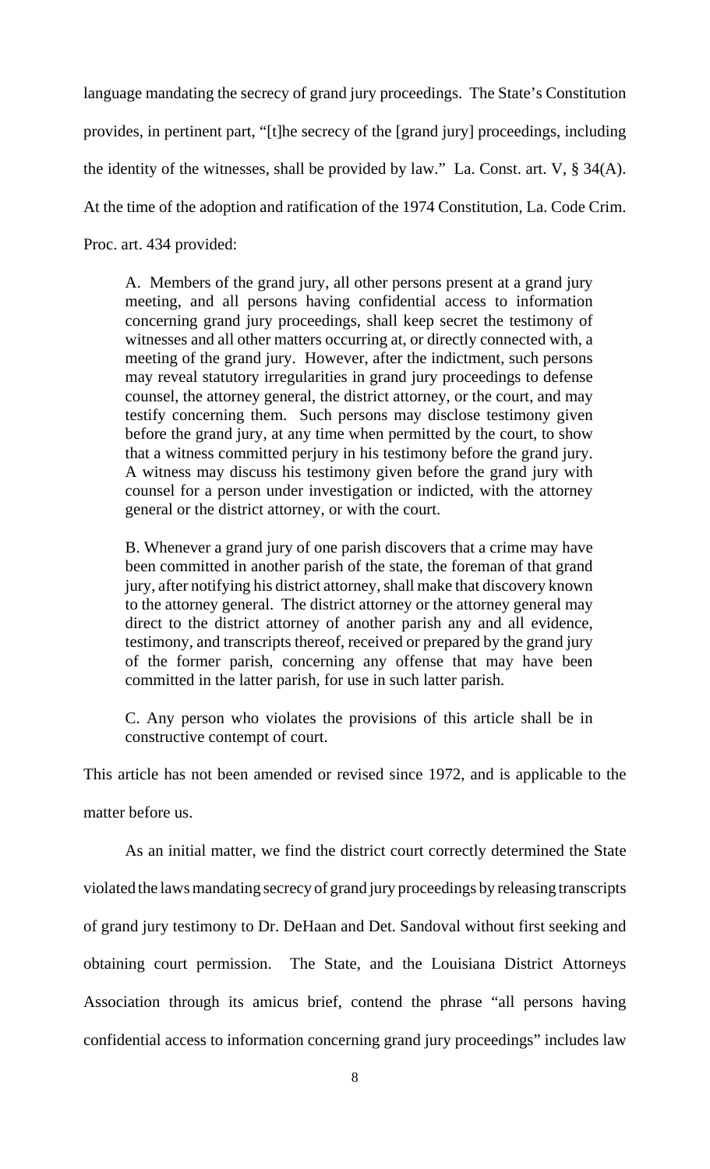language mandating the secrecy of grand jury proceedings. The State's Constitution provides, in pertinent part, "[t]he secrecy of the [grand jury] proceedings, including the identity of the witnesses, shall be provided by law." La. Const. art. V, § 34(A). At the time of the adoption and ratification of the 1974 Constitution, La. Code Crim. Proc. art. 434 provided:

A. Members of the grand jury, all other persons present at a grand jury meeting, and all persons having confidential access to information concerning grand jury proceedings, shall keep secret the testimony of witnesses and all other matters occurring at, or directly connected with, a meeting of the grand jury. However, after the indictment, such persons may reveal statutory irregularities in grand jury proceedings to defense counsel, the attorney general, the district attorney, or the court, and may testify concerning them. Such persons may disclose testimony given before the grand jury, at any time when permitted by the court, to show that a witness committed perjury in his testimony before the grand jury. A witness may discuss his testimony given before the grand jury with counsel for a person under investigation or indicted, with the attorney general or the district attorney, or with the court.

B. Whenever a grand jury of one parish discovers that a crime may have been committed in another parish of the state, the foreman of that grand jury, after notifying his district attorney, shall make that discovery known to the attorney general. The district attorney or the attorney general may direct to the district attorney of another parish any and all evidence, testimony, and transcripts thereof, received or prepared by the grand jury of the former parish, concerning any offense that may have been committed in the latter parish, for use in such latter parish.

C. Any person who violates the provisions of this article shall be in constructive contempt of court.

This article has not been amended or revised since 1972, and is applicable to the

matter before us.

As an initial matter, we find the district court correctly determined the State violated the laws mandating secrecy of grand jury proceedings by releasing transcripts of grand jury testimony to Dr. DeHaan and Det. Sandoval without first seeking and obtaining court permission. The State, and the Louisiana District Attorneys Association through its amicus brief, contend the phrase "all persons having confidential access to information concerning grand jury proceedings" includes law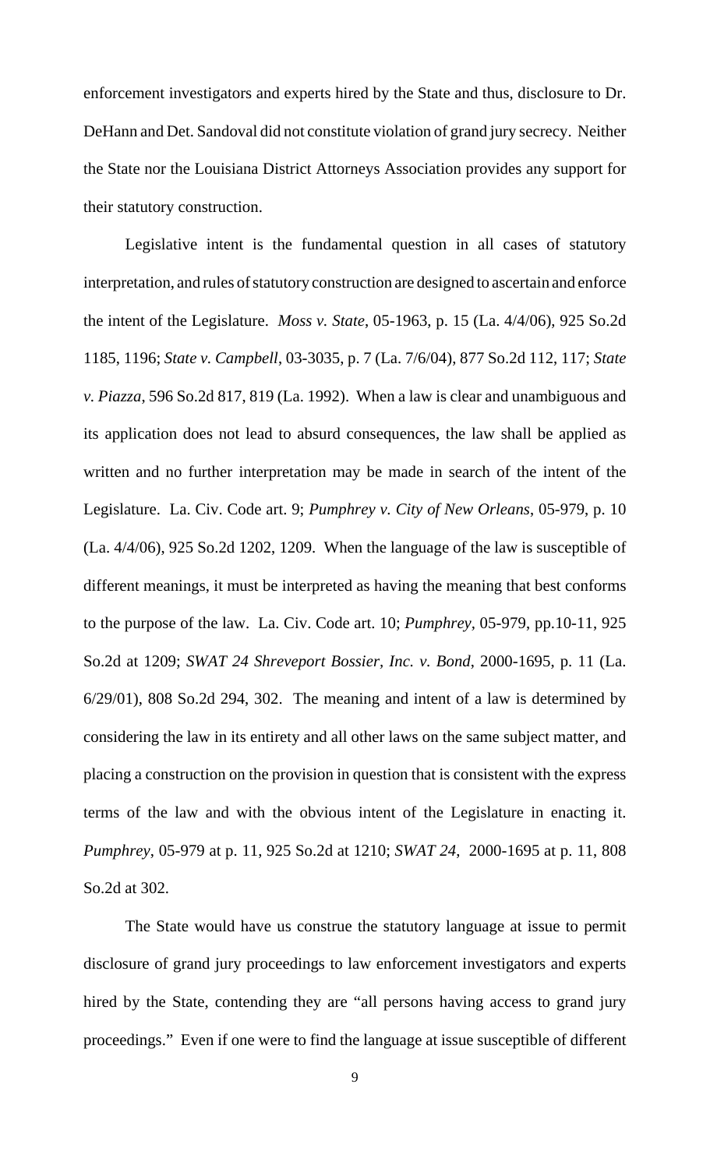enforcement investigators and experts hired by the State and thus, disclosure to Dr. DeHann and Det. Sandoval did not constitute violation of grand jury secrecy. Neither the State nor the Louisiana District Attorneys Association provides any support for their statutory construction.

Legislative intent is the fundamental question in all cases of statutory interpretation, and rules of statutory construction are designed to ascertain and enforce the intent of the Legislature. *Moss v. State*, 05-1963, p. 15 (La. 4/4/06), 925 So.2d 1185, 1196; *State v. Campbell*, 03-3035, p. 7 (La. 7/6/04), 877 So.2d 112, 117; *State v. Piazza*, 596 So.2d 817, 819 (La. 1992). When a law is clear and unambiguous and its application does not lead to absurd consequences, the law shall be applied as written and no further interpretation may be made in search of the intent of the Legislature. La. Civ. Code art. 9; *Pumphrey v. City of New Orleans*, 05-979, p. 10 (La. 4/4/06), 925 So.2d 1202, 1209. When the language of the law is susceptible of different meanings, it must be interpreted as having the meaning that best conforms to the purpose of the law. La. Civ. Code art. 10; *Pumphrey,* 05-979, pp.10-11, 925 So.2d at 1209; *SWAT 24 Shreveport Bossier, Inc. v. Bond*, 2000-1695, p. 11 (La. 6/29/01), 808 So.2d 294, 302. The meaning and intent of a law is determined by considering the law in its entirety and all other laws on the same subject matter, and placing a construction on the provision in question that is consistent with the express terms of the law and with the obvious intent of the Legislature in enacting it. *Pumphrey*, 05-979 at p. 11, 925 So.2d at 1210; *SWAT 24*, 2000-1695 at p. 11, 808 So.2d at 302.

The State would have us construe the statutory language at issue to permit disclosure of grand jury proceedings to law enforcement investigators and experts hired by the State, contending they are "all persons having access to grand jury proceedings." Even if one were to find the language at issue susceptible of different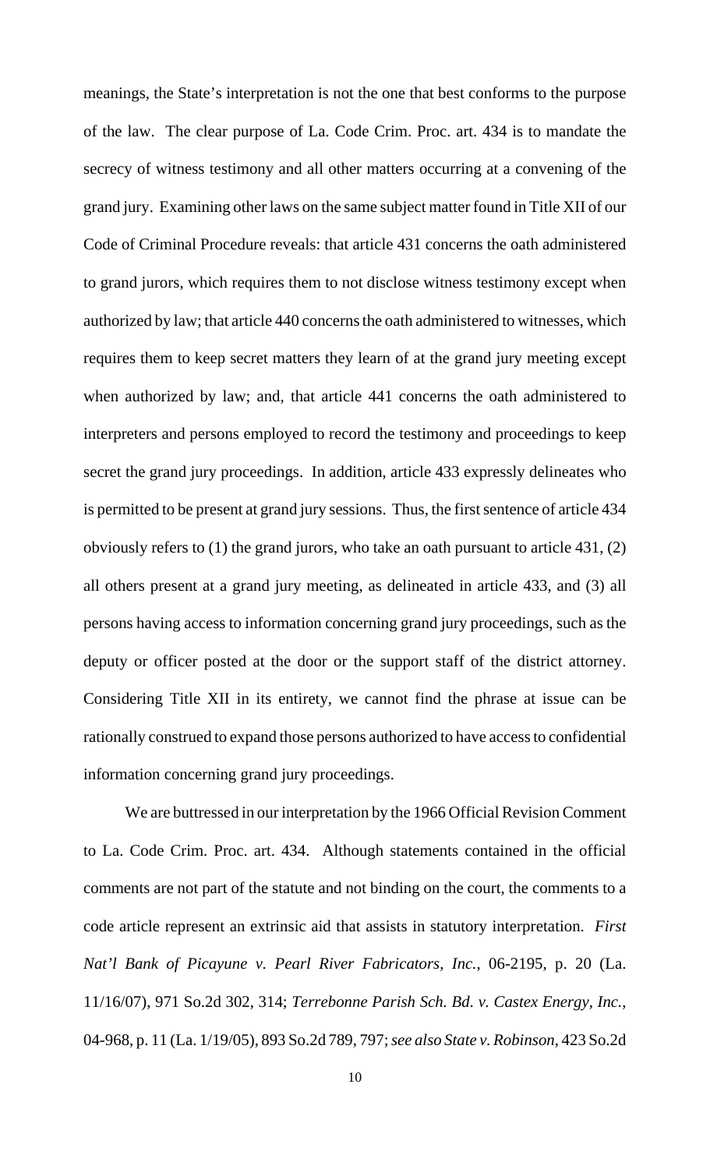meanings, the State's interpretation is not the one that best conforms to the purpose of the law. The clear purpose of La. Code Crim. Proc. art. 434 is to mandate the secrecy of witness testimony and all other matters occurring at a convening of the grand jury. Examining other laws on the same subject matter found in Title XII of our Code of Criminal Procedure reveals: that article 431 concerns the oath administered to grand jurors, which requires them to not disclose witness testimony except when authorized by law; that article 440 concerns the oath administered to witnesses, which requires them to keep secret matters they learn of at the grand jury meeting except when authorized by law; and, that article 441 concerns the oath administered to interpreters and persons employed to record the testimony and proceedings to keep secret the grand jury proceedings. In addition, article 433 expressly delineates who is permitted to be present at grand jury sessions. Thus, the first sentence of article 434 obviously refers to (1) the grand jurors, who take an oath pursuant to article 431, (2) all others present at a grand jury meeting, as delineated in article 433, and (3) all persons having access to information concerning grand jury proceedings, such as the deputy or officer posted at the door or the support staff of the district attorney. Considering Title XII in its entirety, we cannot find the phrase at issue can be rationally construed to expand those persons authorized to have access to confidential information concerning grand jury proceedings.

We are buttressed in our interpretation by the 1966 Official Revision Comment to La. Code Crim. Proc. art. 434. Although statements contained in the official comments are not part of the statute and not binding on the court, the comments to a code article represent an extrinsic aid that assists in statutory interpretation. *First Nat'l Bank of Picayune v. Pearl River Fabricators, Inc.*, 06-2195, p. 20 (La. 11/16/07), 971 So.2d 302, 314; *Terrebonne Parish Sch. Bd. v. Castex Energy, Inc.*, 04-968, p. 11 (La. 1/19/05), 893 So.2d 789, 797; *see also State v. Robinson*, 423 So.2d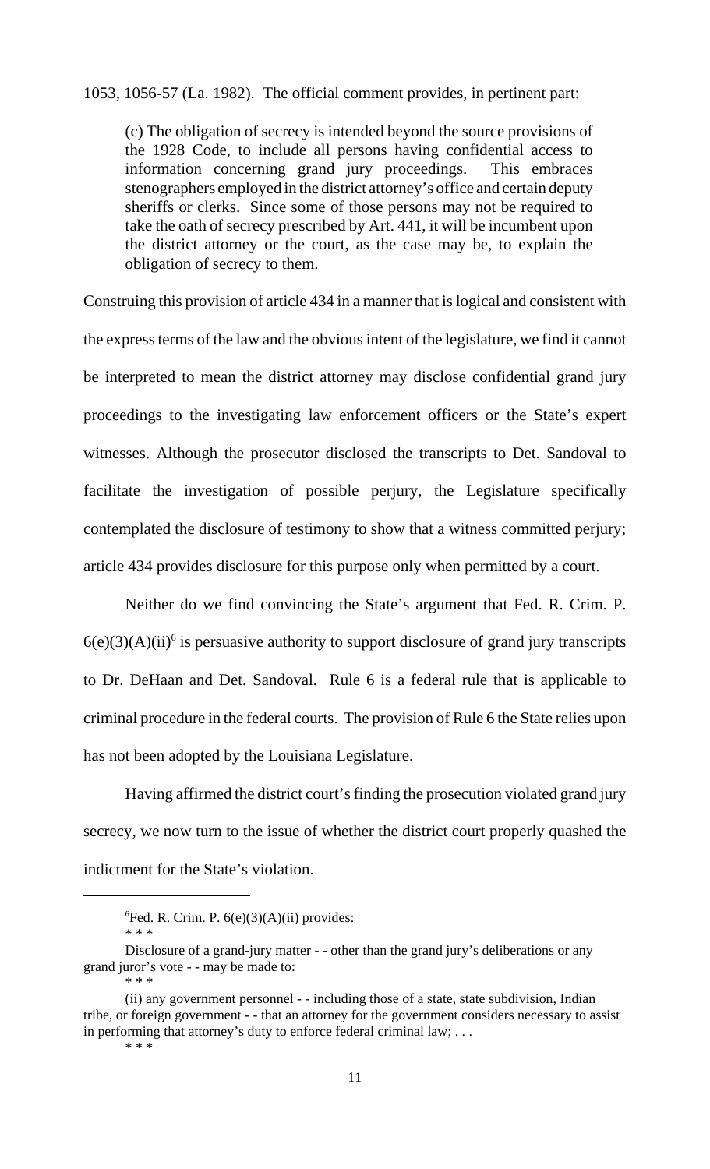1053, 1056-57 (La. 1982). The official comment provides, in pertinent part:

(c) The obligation of secrecy is intended beyond the source provisions of the 1928 Code, to include all persons having confidential access to information concerning grand jury proceedings. This embraces stenographers employed in the district attorney's office and certain deputy sheriffs or clerks. Since some of those persons may not be required to take the oath of secrecy prescribed by Art. 441, it will be incumbent upon the district attorney or the court, as the case may be, to explain the obligation of secrecy to them.

Construing this provision of article 434 in a manner that is logical and consistent with the express terms of the law and the obvious intent of the legislature, we find it cannot be interpreted to mean the district attorney may disclose confidential grand jury proceedings to the investigating law enforcement officers or the State's expert witnesses. Although the prosecutor disclosed the transcripts to Det. Sandoval to facilitate the investigation of possible perjury, the Legislature specifically contemplated the disclosure of testimony to show that a witness committed perjury; article 434 provides disclosure for this purpose only when permitted by a court.

Neither do we find convincing the State's argument that Fed. R. Crim. P.  $6(e)(3)(A)(ii)^6$  is persuasive authority to support disclosure of grand jury transcripts to Dr. DeHaan and Det. Sandoval. Rule 6 is a federal rule that is applicable to criminal procedure in the federal courts. The provision of Rule 6 the State relies upon has not been adopted by the Louisiana Legislature.

Having affirmed the district court's finding the prosecution violated grand jury secrecy, we now turn to the issue of whether the district court properly quashed the indictment for the State's violation.

\* \* \*

 ${}^{6}$ Fed. R. Crim. P. 6(e)(3)(A)(ii) provides:

<sup>\* \* \*</sup>

Disclosure of a grand-jury matter - - other than the grand jury's deliberations or any grand juror's vote - - may be made to:

<sup>\* \* \*</sup>

<sup>(</sup>ii) any government personnel - - including those of a state, state subdivision, Indian tribe, or foreign government - - that an attorney for the government considers necessary to assist in performing that attorney's duty to enforce federal criminal law; . . .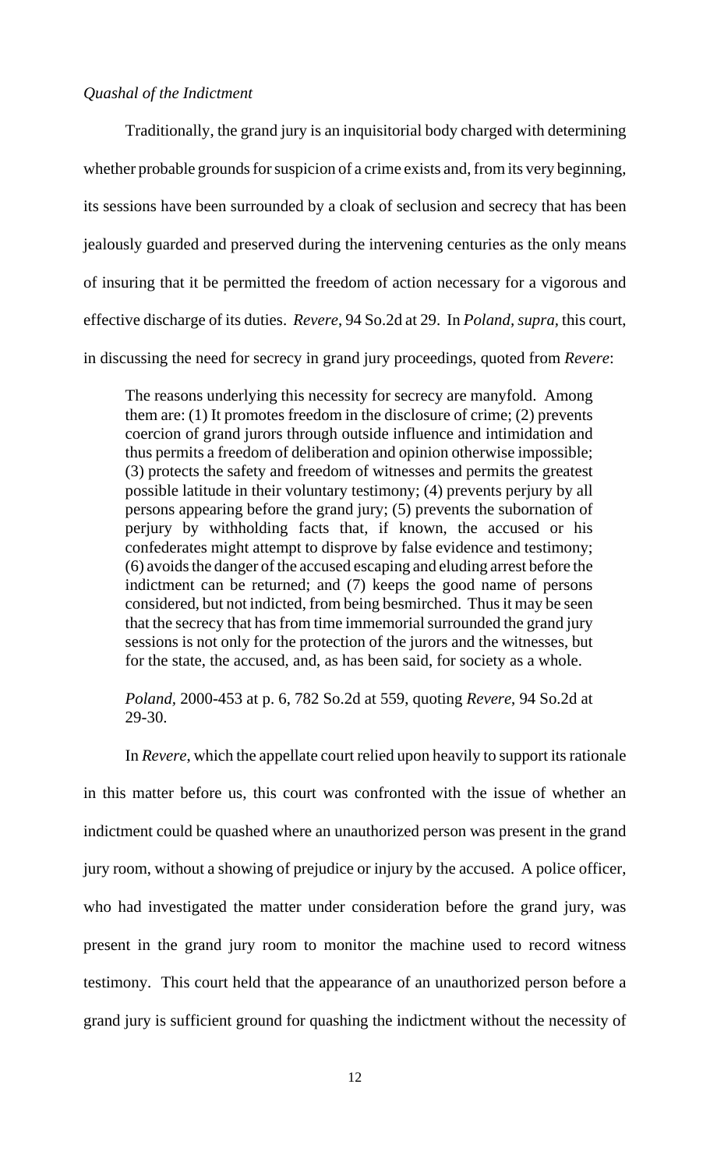## *Quashal of the Indictment*

Traditionally, the grand jury is an inquisitorial body charged with determining whether probable grounds for suspicion of a crime exists and, from its very beginning, its sessions have been surrounded by a cloak of seclusion and secrecy that has been jealously guarded and preserved during the intervening centuries as the only means of insuring that it be permitted the freedom of action necessary for a vigorous and effective discharge of its duties. *Revere*, 94 So.2d at 29. In *Poland, supra,* this court, in discussing the need for secrecy in grand jury proceedings, quoted from *Revere*:

The reasons underlying this necessity for secrecy are manyfold. Among them are: (1) It promotes freedom in the disclosure of crime; (2) prevents coercion of grand jurors through outside influence and intimidation and thus permits a freedom of deliberation and opinion otherwise impossible; (3) protects the safety and freedom of witnesses and permits the greatest possible latitude in their voluntary testimony; (4) prevents perjury by all persons appearing before the grand jury; (5) prevents the subornation of perjury by withholding facts that, if known, the accused or his confederates might attempt to disprove by false evidence and testimony; (6) avoids the danger of the accused escaping and eluding arrest before the indictment can be returned; and (7) keeps the good name of persons considered, but not indicted, from being besmirched. Thus it may be seen that the secrecy that has from time immemorial surrounded the grand jury sessions is not only for the protection of the jurors and the witnesses, but for the state, the accused, and, as has been said, for society as a whole.

*Poland,* 2000-453 at p. 6, 782 So.2d at 559, quoting *Revere*, 94 So.2d at 29-30.

In *Revere*, which the appellate court relied upon heavily to support its rationale in this matter before us, this court was confronted with the issue of whether an indictment could be quashed where an unauthorized person was present in the grand jury room, without a showing of prejudice or injury by the accused. A police officer, who had investigated the matter under consideration before the grand jury, was present in the grand jury room to monitor the machine used to record witness testimony. This court held that the appearance of an unauthorized person before a grand jury is sufficient ground for quashing the indictment without the necessity of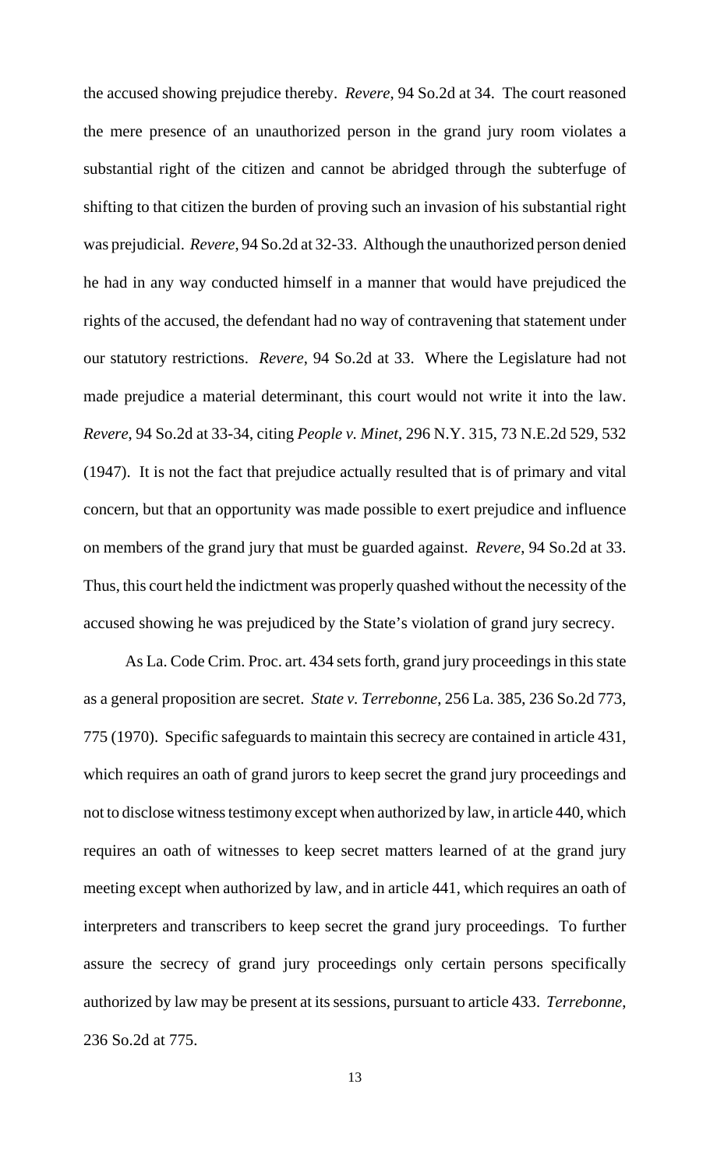the accused showing prejudice thereby. *Revere*, 94 So.2d at 34. The court reasoned the mere presence of an unauthorized person in the grand jury room violates a substantial right of the citizen and cannot be abridged through the subterfuge of shifting to that citizen the burden of proving such an invasion of his substantial right was prejudicial. *Revere*, 94 So.2d at 32-33. Although the unauthorized person denied he had in any way conducted himself in a manner that would have prejudiced the rights of the accused, the defendant had no way of contravening that statement under our statutory restrictions. *Revere*, 94 So.2d at 33. Where the Legislature had not made prejudice a material determinant, this court would not write it into the law. *Revere*, 94 So.2d at 33-34, citing *People v. Minet*, 296 N.Y. 315, 73 N.E.2d 529, 532 (1947). It is not the fact that prejudice actually resulted that is of primary and vital concern, but that an opportunity was made possible to exert prejudice and influence on members of the grand jury that must be guarded against. *Revere*, 94 So.2d at 33. Thus, this court held the indictment was properly quashed without the necessity of the accused showing he was prejudiced by the State's violation of grand jury secrecy.

As La. Code Crim. Proc. art. 434 sets forth, grand jury proceedings in this state as a general proposition are secret. *State v. Terrebonne*, 256 La. 385, 236 So.2d 773, 775 (1970). Specific safeguards to maintain this secrecy are contained in article 431, which requires an oath of grand jurors to keep secret the grand jury proceedings and not to disclose witness testimony except when authorized by law, in article 440, which requires an oath of witnesses to keep secret matters learned of at the grand jury meeting except when authorized by law, and in article 441, which requires an oath of interpreters and transcribers to keep secret the grand jury proceedings. To further assure the secrecy of grand jury proceedings only certain persons specifically authorized by law may be present at its sessions, pursuant to article 433. *Terrebonne*, 236 So.2d at 775.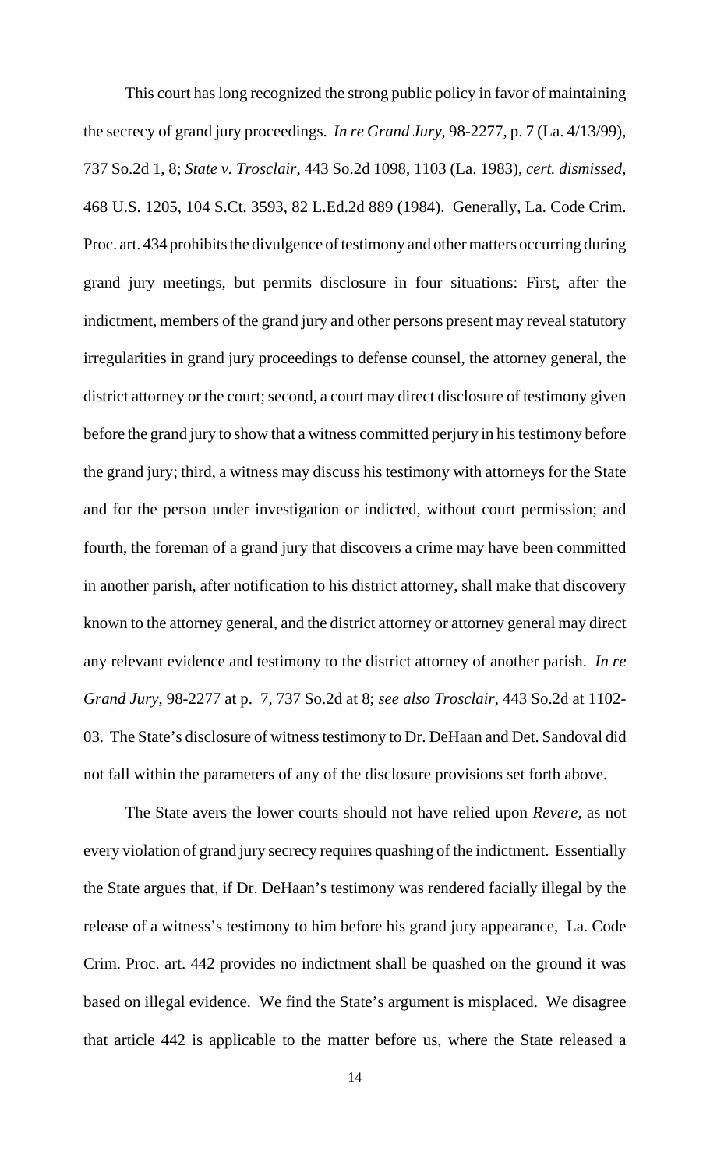This court has long recognized the strong public policy in favor of maintaining the secrecy of grand jury proceedings. *In re Grand Jury*, 98-2277, p. 7 (La. 4/13/99), 737 So.2d 1, 8; *State v. Trosclair*, 443 So.2d 1098, 1103 (La. 1983), *cert. dismissed*, 468 U.S. 1205, 104 S.Ct. 3593, 82 L.Ed.2d 889 (1984). Generally, La. Code Crim. Proc. art. 434 prohibits the divulgence of testimony and other matters occurring during grand jury meetings, but permits disclosure in four situations: First, after the indictment, members of the grand jury and other persons present may reveal statutory irregularities in grand jury proceedings to defense counsel, the attorney general, the district attorney or the court; second, a court may direct disclosure of testimony given before the grand jury to show that a witness committed perjury in his testimony before the grand jury; third, a witness may discuss his testimony with attorneys for the State and for the person under investigation or indicted, without court permission; and fourth, the foreman of a grand jury that discovers a crime may have been committed in another parish, after notification to his district attorney, shall make that discovery known to the attorney general, and the district attorney or attorney general may direct any relevant evidence and testimony to the district attorney of another parish. *In re Grand Jury*, 98-2277 at p. 7, 737 So.2d at 8; *see also Trosclair*, 443 So.2d at 1102- 03. The State's disclosure of witness testimony to Dr. DeHaan and Det. Sandoval did not fall within the parameters of any of the disclosure provisions set forth above.

The State avers the lower courts should not have relied upon *Revere,* as not every violation of grand jury secrecy requires quashing of the indictment. Essentially the State argues that, if Dr. DeHaan's testimony was rendered facially illegal by the release of a witness's testimony to him before his grand jury appearance, La. Code Crim. Proc. art. 442 provides no indictment shall be quashed on the ground it was based on illegal evidence. We find the State's argument is misplaced. We disagree that article 442 is applicable to the matter before us, where the State released a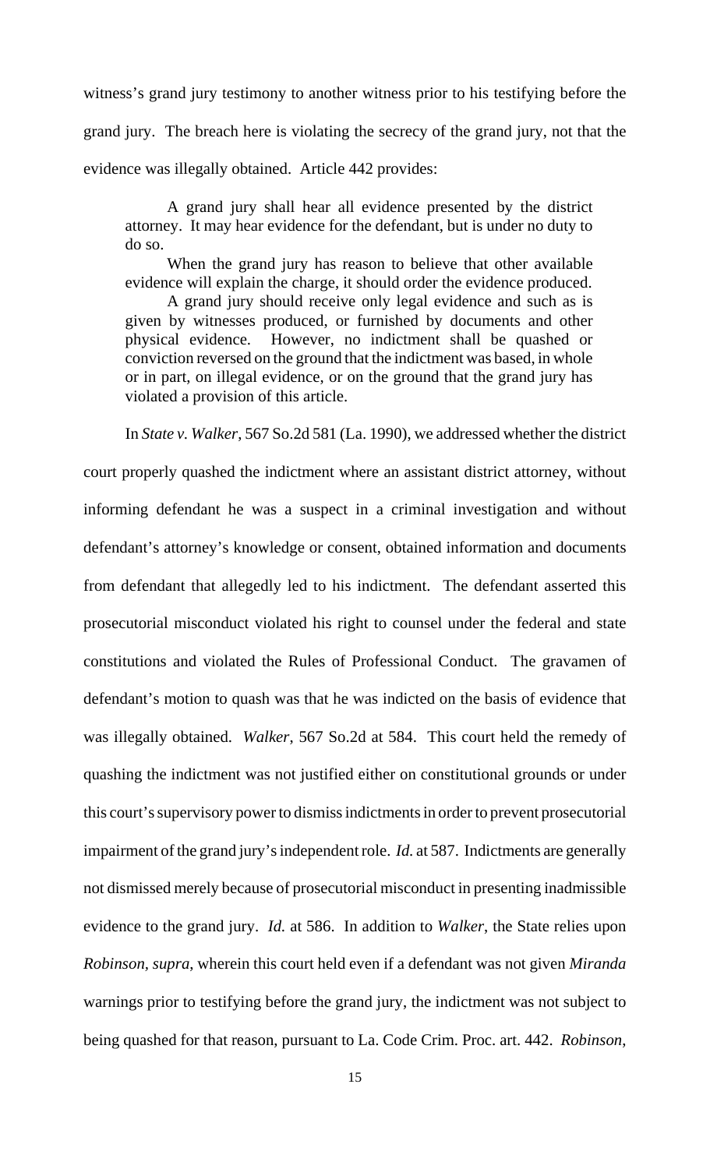witness's grand jury testimony to another witness prior to his testifying before the grand jury. The breach here is violating the secrecy of the grand jury, not that the evidence was illegally obtained. Article 442 provides:

A grand jury shall hear all evidence presented by the district attorney. It may hear evidence for the defendant, but is under no duty to do so.

When the grand jury has reason to believe that other available evidence will explain the charge, it should order the evidence produced.

A grand jury should receive only legal evidence and such as is given by witnesses produced, or furnished by documents and other physical evidence. However, no indictment shall be quashed or conviction reversed on the ground that the indictment was based, in whole or in part, on illegal evidence, or on the ground that the grand jury has violated a provision of this article.

In *State v. Walker*, 567 So.2d 581 (La. 1990), we addressed whether the district court properly quashed the indictment where an assistant district attorney, without informing defendant he was a suspect in a criminal investigation and without defendant's attorney's knowledge or consent, obtained information and documents from defendant that allegedly led to his indictment. The defendant asserted this prosecutorial misconduct violated his right to counsel under the federal and state constitutions and violated the Rules of Professional Conduct. The gravamen of defendant's motion to quash was that he was indicted on the basis of evidence that was illegally obtained. *Walker*, 567 So.2d at 584. This court held the remedy of quashing the indictment was not justified either on constitutional grounds or under this court's supervisory power to dismiss indictments in order to prevent prosecutorial impairment of the grand jury's independent role. *Id.* at 587. Indictments are generally not dismissed merely because of prosecutorial misconduct in presenting inadmissible evidence to the grand jury. *Id.* at 586. In addition to *Walker*, the State relies upon *Robinson, supra*, wherein this court held even if a defendant was not given *Miranda* warnings prior to testifying before the grand jury, the indictment was not subject to being quashed for that reason, pursuant to La. Code Crim. Proc. art. 442. *Robinson*,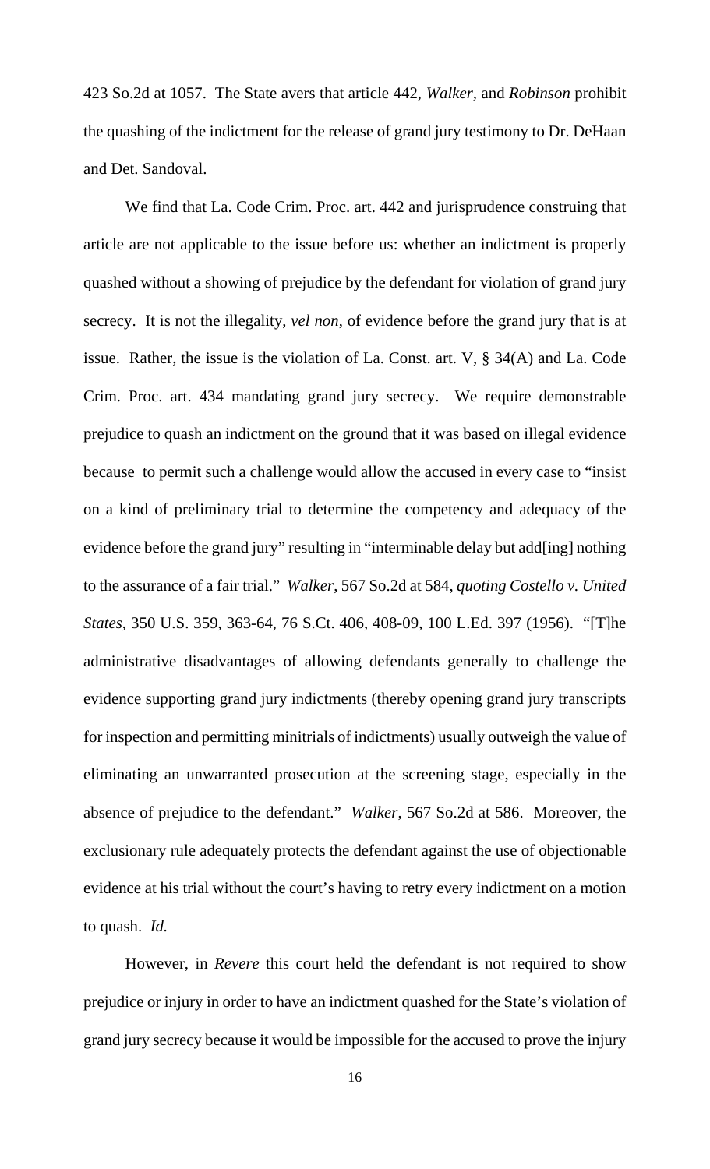423 So.2d at 1057. The State avers that article 442, *Walker,* and *Robinson* prohibit the quashing of the indictment for the release of grand jury testimony to Dr. DeHaan and Det. Sandoval.

We find that La. Code Crim. Proc. art. 442 and jurisprudence construing that article are not applicable to the issue before us: whether an indictment is properly quashed without a showing of prejudice by the defendant for violation of grand jury secrecy. It is not the illegality, *vel non*, of evidence before the grand jury that is at issue. Rather, the issue is the violation of La. Const. art. V, § 34(A) and La. Code Crim. Proc. art. 434 mandating grand jury secrecy. We require demonstrable prejudice to quash an indictment on the ground that it was based on illegal evidence because to permit such a challenge would allow the accused in every case to "insist on a kind of preliminary trial to determine the competency and adequacy of the evidence before the grand jury" resulting in "interminable delay but add[ing] nothing to the assurance of a fair trial." *Walker*, 567 So.2d at 584, *quoting Costello v. United States*, 350 U.S. 359, 363-64, 76 S.Ct. 406, 408-09, 100 L.Ed. 397 (1956). "[T]he administrative disadvantages of allowing defendants generally to challenge the evidence supporting grand jury indictments (thereby opening grand jury transcripts for inspection and permitting minitrials of indictments) usually outweigh the value of eliminating an unwarranted prosecution at the screening stage, especially in the absence of prejudice to the defendant." *Walker*, 567 So.2d at 586. Moreover, the exclusionary rule adequately protects the defendant against the use of objectionable evidence at his trial without the court's having to retry every indictment on a motion to quash. *Id.*

However, in *Revere* this court held the defendant is not required to show prejudice or injury in order to have an indictment quashed for the State's violation of grand jury secrecy because it would be impossible for the accused to prove the injury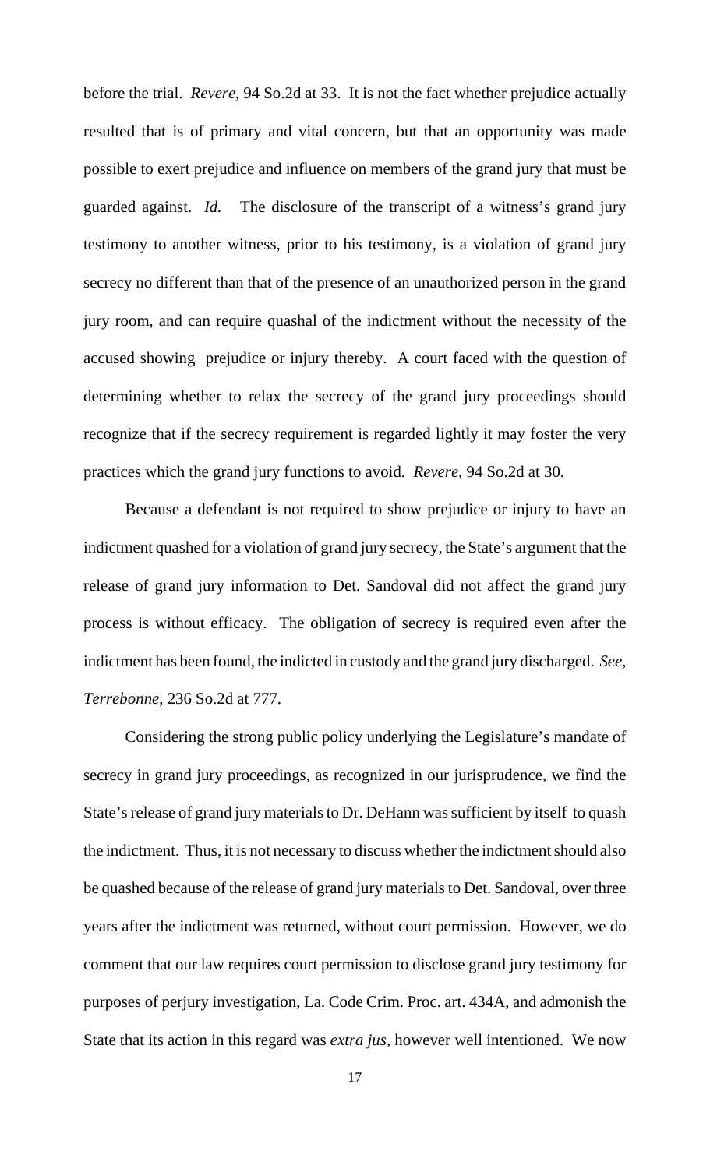before the trial. *Revere*, 94 So.2d at 33. It is not the fact whether prejudice actually resulted that is of primary and vital concern, but that an opportunity was made possible to exert prejudice and influence on members of the grand jury that must be guarded against. *Id.* The disclosure of the transcript of a witness's grand jury testimony to another witness, prior to his testimony, is a violation of grand jury secrecy no different than that of the presence of an unauthorized person in the grand jury room, and can require quashal of the indictment without the necessity of the accused showing prejudice or injury thereby. A court faced with the question of determining whether to relax the secrecy of the grand jury proceedings should recognize that if the secrecy requirement is regarded lightly it may foster the very practices which the grand jury functions to avoid. *Revere*, 94 So.2d at 30.

Because a defendant is not required to show prejudice or injury to have an indictment quashed for a violation of grand jury secrecy, the State's argument that the release of grand jury information to Det. Sandoval did not affect the grand jury process is without efficacy. The obligation of secrecy is required even after the indictment has been found, the indicted in custody and the grand jury discharged. *See, Terrebonne*, 236 So.2d at 777.

Considering the strong public policy underlying the Legislature's mandate of secrecy in grand jury proceedings, as recognized in our jurisprudence, we find the State's release of grand jury materials to Dr. DeHann was sufficient by itself to quash the indictment. Thus, it is not necessary to discuss whether the indictment should also be quashed because of the release of grand jury materials to Det. Sandoval, over three years after the indictment was returned, without court permission. However, we do comment that our law requires court permission to disclose grand jury testimony for purposes of perjury investigation, La. Code Crim. Proc. art. 434A, and admonish the State that its action in this regard was *extra jus*, however well intentioned. We now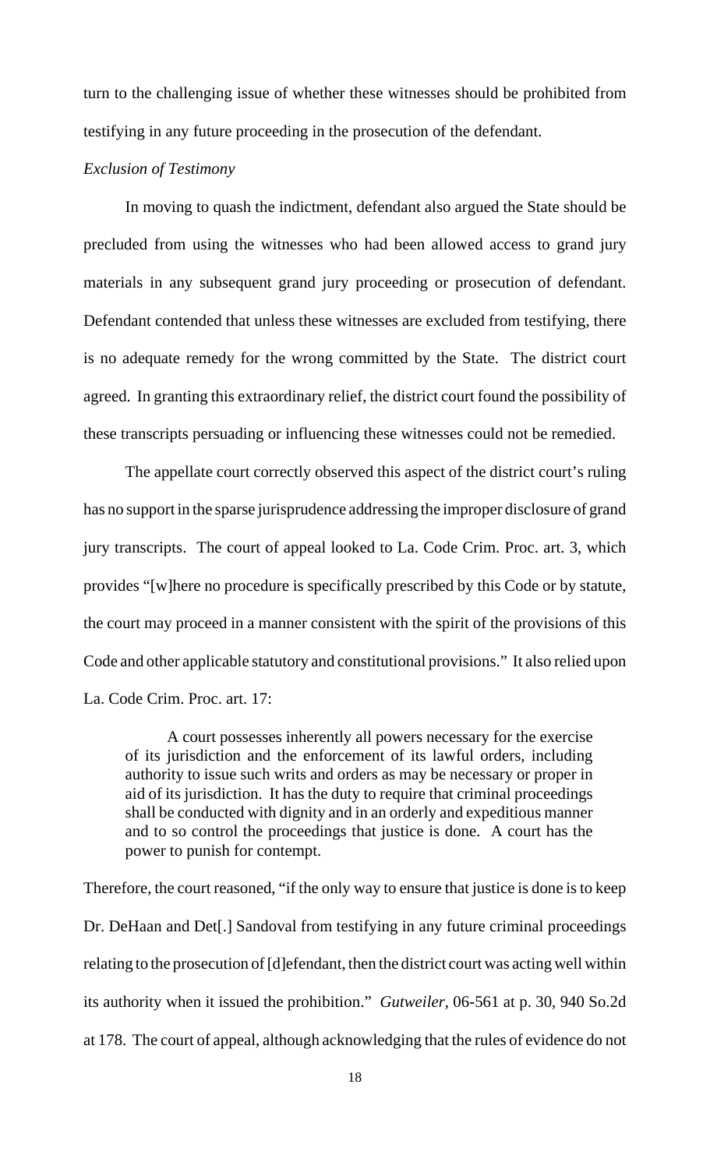turn to the challenging issue of whether these witnesses should be prohibited from testifying in any future proceeding in the prosecution of the defendant.

## *Exclusion of Testimony*

In moving to quash the indictment, defendant also argued the State should be precluded from using the witnesses who had been allowed access to grand jury materials in any subsequent grand jury proceeding or prosecution of defendant. Defendant contended that unless these witnesses are excluded from testifying, there is no adequate remedy for the wrong committed by the State. The district court agreed. In granting this extraordinary relief, the district court found the possibility of these transcripts persuading or influencing these witnesses could not be remedied.

The appellate court correctly observed this aspect of the district court's ruling has no support in the sparse jurisprudence addressing the improper disclosure of grand jury transcripts. The court of appeal looked to La. Code Crim. Proc. art. 3, which provides "[w]here no procedure is specifically prescribed by this Code or by statute, the court may proceed in a manner consistent with the spirit of the provisions of this Code and other applicable statutory and constitutional provisions." It also relied upon La. Code Crim. Proc. art. 17:

A court possesses inherently all powers necessary for the exercise of its jurisdiction and the enforcement of its lawful orders, including authority to issue such writs and orders as may be necessary or proper in aid of its jurisdiction. It has the duty to require that criminal proceedings shall be conducted with dignity and in an orderly and expeditious manner and to so control the proceedings that justice is done. A court has the power to punish for contempt.

Therefore, the court reasoned, "if the only way to ensure that justice is done is to keep Dr. DeHaan and Det[.] Sandoval from testifying in any future criminal proceedings relating to the prosecution of [d]efendant, then the district court was acting well within its authority when it issued the prohibition." *Gutweiler*, 06-561 at p. 30, 940 So.2d at 178. The court of appeal, although acknowledging that the rules of evidence do not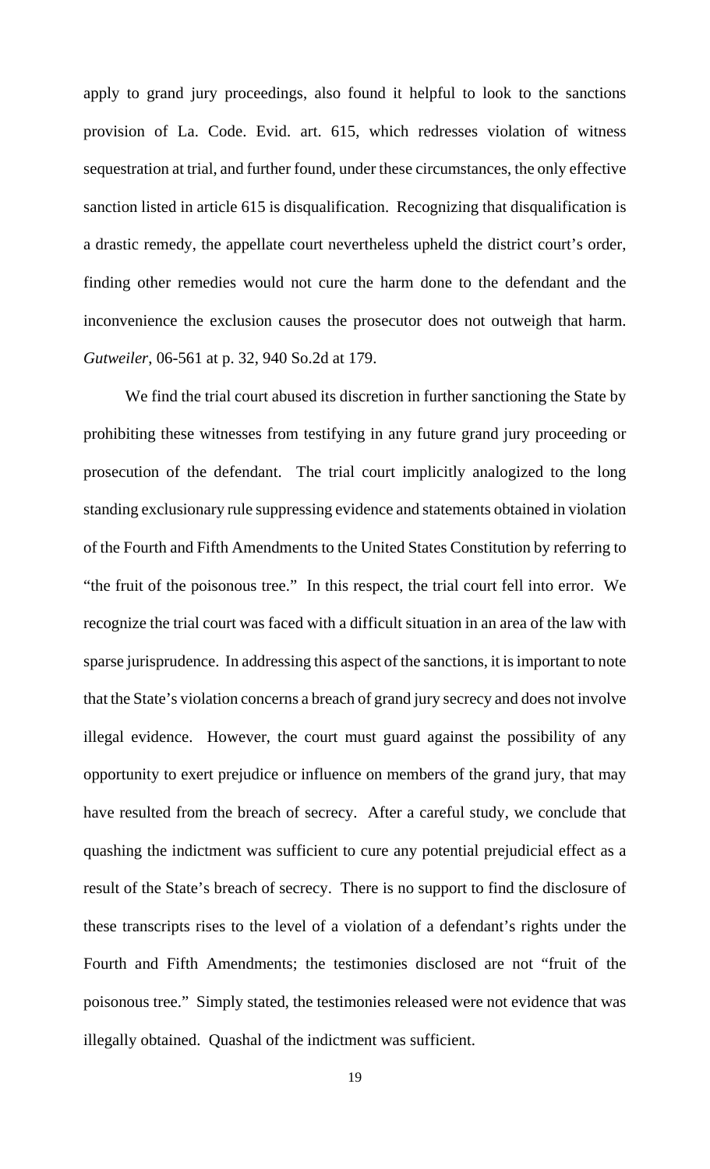apply to grand jury proceedings, also found it helpful to look to the sanctions provision of La. Code. Evid. art. 615, which redresses violation of witness sequestration at trial, and further found, under these circumstances, the only effective sanction listed in article 615 is disqualification. Recognizing that disqualification is a drastic remedy, the appellate court nevertheless upheld the district court's order, finding other remedies would not cure the harm done to the defendant and the inconvenience the exclusion causes the prosecutor does not outweigh that harm. *Gutweiler*, 06-561 at p. 32, 940 So.2d at 179.

We find the trial court abused its discretion in further sanctioning the State by prohibiting these witnesses from testifying in any future grand jury proceeding or prosecution of the defendant. The trial court implicitly analogized to the long standing exclusionary rule suppressing evidence and statements obtained in violation of the Fourth and Fifth Amendments to the United States Constitution by referring to "the fruit of the poisonous tree." In this respect, the trial court fell into error. We recognize the trial court was faced with a difficult situation in an area of the law with sparse jurisprudence. In addressing this aspect of the sanctions, it is important to note that the State's violation concerns a breach of grand jury secrecy and does not involve illegal evidence. However, the court must guard against the possibility of any opportunity to exert prejudice or influence on members of the grand jury, that may have resulted from the breach of secrecy. After a careful study, we conclude that quashing the indictment was sufficient to cure any potential prejudicial effect as a result of the State's breach of secrecy. There is no support to find the disclosure of these transcripts rises to the level of a violation of a defendant's rights under the Fourth and Fifth Amendments; the testimonies disclosed are not "fruit of the poisonous tree." Simply stated, the testimonies released were not evidence that was illegally obtained. Quashal of the indictment was sufficient.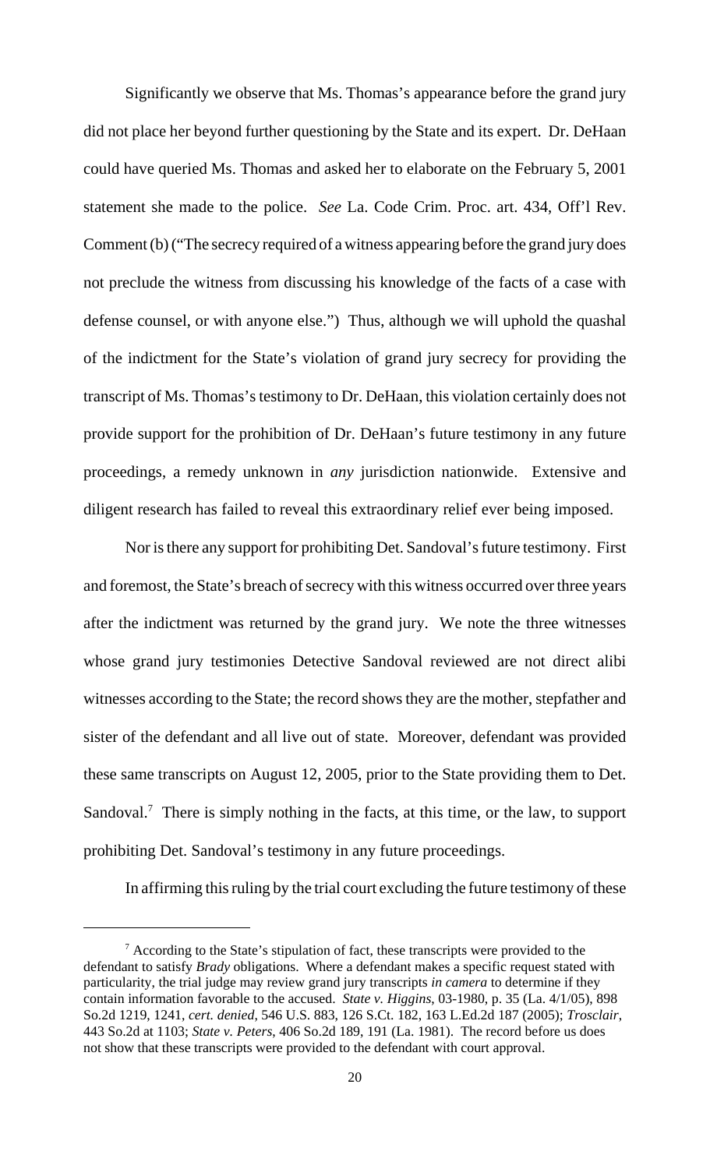Significantly we observe that Ms. Thomas's appearance before the grand jury did not place her beyond further questioning by the State and its expert. Dr. DeHaan could have queried Ms. Thomas and asked her to elaborate on the February 5, 2001 statement she made to the police. *See* La. Code Crim. Proc. art. 434, Off'l Rev. Comment (b) ("The secrecy required of a witness appearing before the grand jury does not preclude the witness from discussing his knowledge of the facts of a case with defense counsel, or with anyone else.") Thus, although we will uphold the quashal of the indictment for the State's violation of grand jury secrecy for providing the transcript of Ms. Thomas's testimony to Dr. DeHaan, this violation certainly does not provide support for the prohibition of Dr. DeHaan's future testimony in any future proceedings, a remedy unknown in *any* jurisdiction nationwide. Extensive and diligent research has failed to reveal this extraordinary relief ever being imposed.

Nor is there any support for prohibiting Det. Sandoval's future testimony. First and foremost, the State's breach of secrecy with this witness occurred over three years after the indictment was returned by the grand jury. We note the three witnesses whose grand jury testimonies Detective Sandoval reviewed are not direct alibi witnesses according to the State; the record shows they are the mother, stepfather and sister of the defendant and all live out of state. Moreover, defendant was provided these same transcripts on August 12, 2005, prior to the State providing them to Det. Sandoval.<sup>7</sup> There is simply nothing in the facts, at this time, or the law, to support prohibiting Det. Sandoval's testimony in any future proceedings.

In affirming this ruling by the trial court excluding the future testimony of these

 $7$  According to the State's stipulation of fact, these transcripts were provided to the defendant to satisfy *Brady* obligations. Where a defendant makes a specific request stated with particularity, the trial judge may review grand jury transcripts *in camera* to determine if they contain information favorable to the accused. *State v. Higgins*, 03-1980, p. 35 (La. 4/1/05), 898 So.2d 1219, 1241, *cert. denied*, 546 U.S. 883, 126 S.Ct. 182, 163 L.Ed.2d 187 (2005); *Trosclair*, 443 So.2d at 1103; *State v. Peters*, 406 So.2d 189, 191 (La. 1981). The record before us does not show that these transcripts were provided to the defendant with court approval.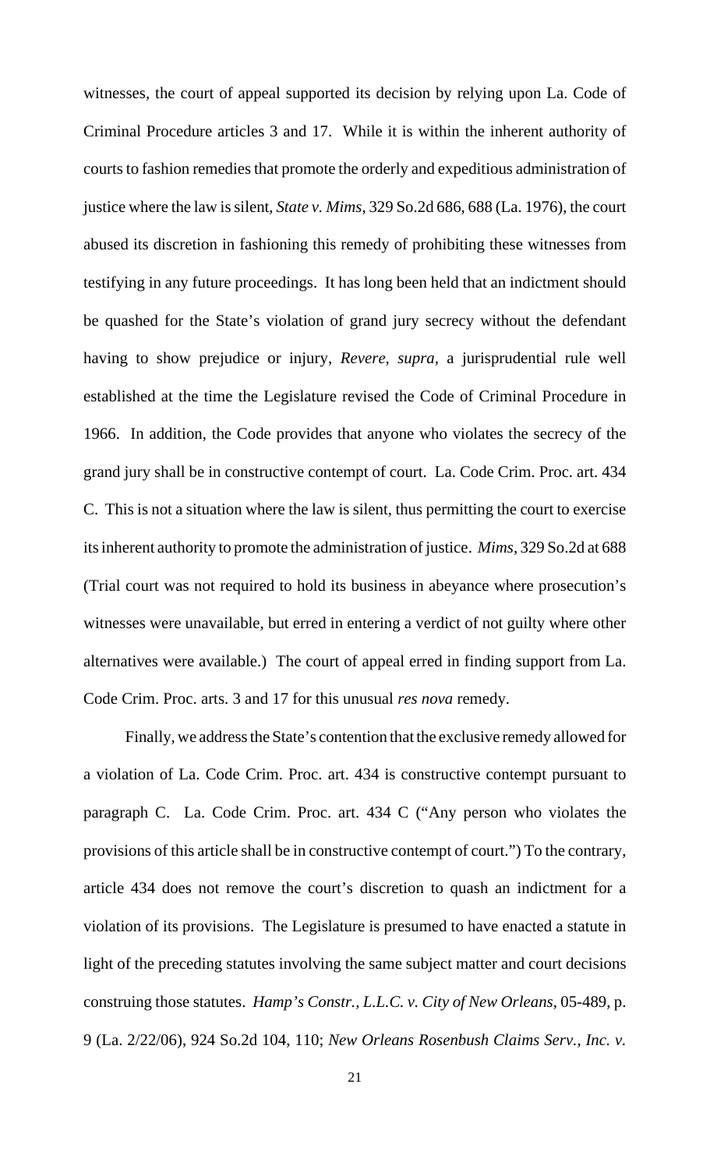witnesses, the court of appeal supported its decision by relying upon La. Code of Criminal Procedure articles 3 and 17. While it is within the inherent authority of courts to fashion remedies that promote the orderly and expeditious administration of justice where the law is silent, *State v. Mims*, 329 So.2d 686, 688 (La. 1976), the court abused its discretion in fashioning this remedy of prohibiting these witnesses from testifying in any future proceedings. It has long been held that an indictment should be quashed for the State's violation of grand jury secrecy without the defendant having to show prejudice or injury, *Revere*, *supra*, a jurisprudential rule well established at the time the Legislature revised the Code of Criminal Procedure in 1966. In addition, the Code provides that anyone who violates the secrecy of the grand jury shall be in constructive contempt of court. La. Code Crim. Proc. art. 434 C. This is not a situation where the law is silent, thus permitting the court to exercise its inherent authority to promote the administration of justice. *Mims*, 329 So.2d at 688 (Trial court was not required to hold its business in abeyance where prosecution's witnesses were unavailable, but erred in entering a verdict of not guilty where other alternatives were available.) The court of appeal erred in finding support from La. Code Crim. Proc. arts. 3 and 17 for this unusual *res nova* remedy.

Finally, we address the State's contention that the exclusive remedy allowed for a violation of La. Code Crim. Proc. art. 434 is constructive contempt pursuant to paragraph C. La. Code Crim. Proc. art. 434 C ("Any person who violates the provisions of this article shall be in constructive contempt of court.") To the contrary, article 434 does not remove the court's discretion to quash an indictment for a violation of its provisions. The Legislature is presumed to have enacted a statute in light of the preceding statutes involving the same subject matter and court decisions construing those statutes. *Hamp's Constr., L.L.C. v. City of New Orleans*, 05-489, p. 9 (La. 2/22/06), 924 So.2d 104, 110; *New Orleans Rosenbush Claims Serv., Inc. v.*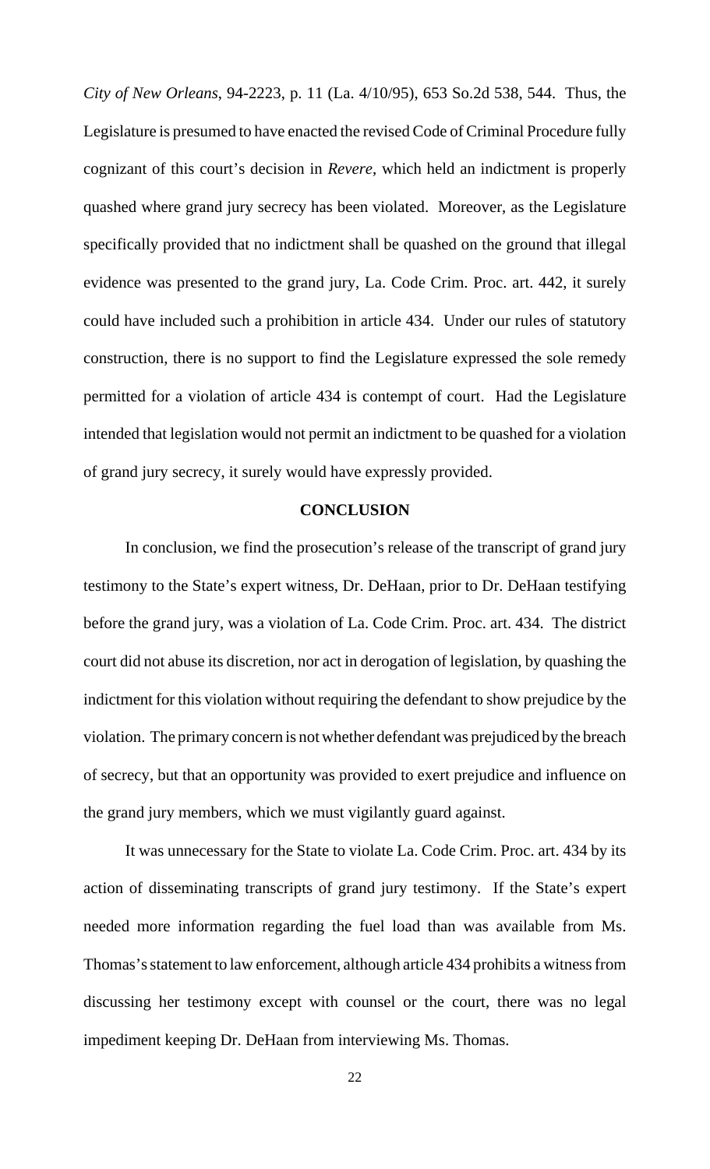*City of New Orleans*, 94-2223, p. 11 (La. 4/10/95), 653 So.2d 538, 544. Thus, the Legislature is presumed to have enacted the revised Code of Criminal Procedure fully cognizant of this court's decision in *Revere*, which held an indictment is properly quashed where grand jury secrecy has been violated. Moreover, as the Legislature specifically provided that no indictment shall be quashed on the ground that illegal evidence was presented to the grand jury, La. Code Crim. Proc. art. 442, it surely could have included such a prohibition in article 434. Under our rules of statutory construction, there is no support to find the Legislature expressed the sole remedy permitted for a violation of article 434 is contempt of court. Had the Legislature intended that legislation would not permit an indictment to be quashed for a violation of grand jury secrecy, it surely would have expressly provided.

### **CONCLUSION**

In conclusion, we find the prosecution's release of the transcript of grand jury testimony to the State's expert witness, Dr. DeHaan, prior to Dr. DeHaan testifying before the grand jury, was a violation of La. Code Crim. Proc. art. 434. The district court did not abuse its discretion, nor act in derogation of legislation, by quashing the indictment for this violation without requiring the defendant to show prejudice by the violation. The primary concern is not whether defendant was prejudiced by the breach of secrecy, but that an opportunity was provided to exert prejudice and influence on the grand jury members, which we must vigilantly guard against.

It was unnecessary for the State to violate La. Code Crim. Proc. art. 434 by its action of disseminating transcripts of grand jury testimony. If the State's expert needed more information regarding the fuel load than was available from Ms. Thomas's statement to law enforcement, although article 434 prohibits a witness from discussing her testimony except with counsel or the court, there was no legal impediment keeping Dr. DeHaan from interviewing Ms. Thomas.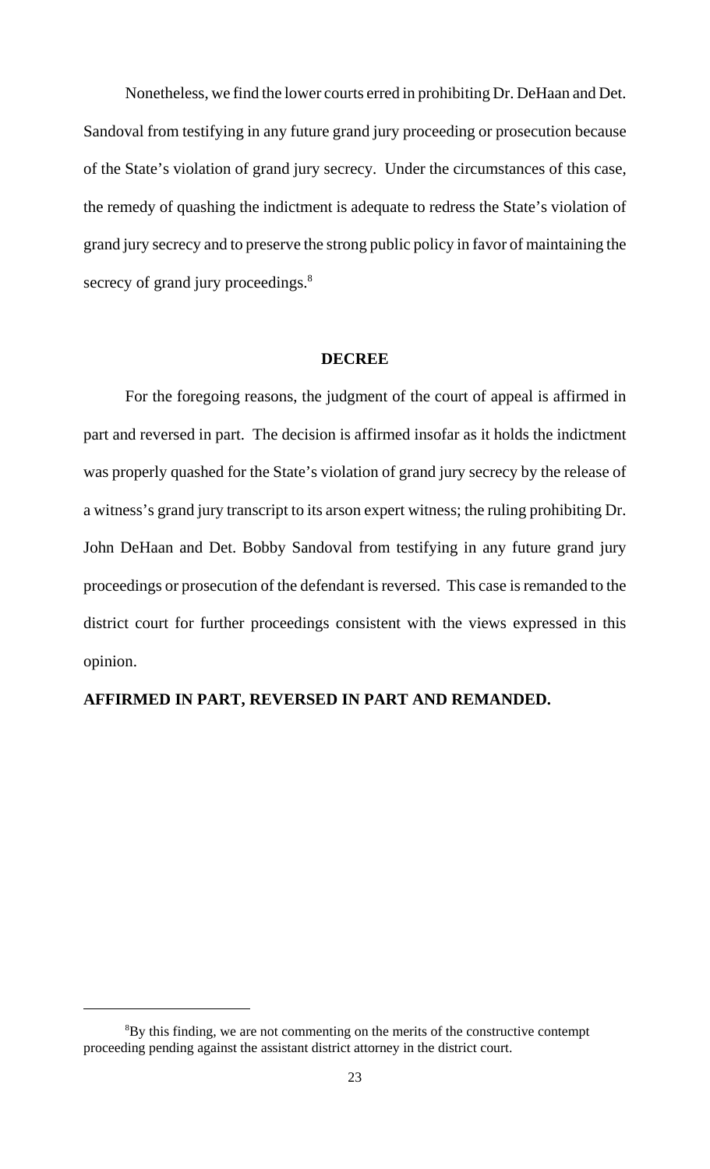Nonetheless, we find the lower courts erred in prohibiting Dr. DeHaan and Det. Sandoval from testifying in any future grand jury proceeding or prosecution because of the State's violation of grand jury secrecy. Under the circumstances of this case, the remedy of quashing the indictment is adequate to redress the State's violation of grand jury secrecy and to preserve the strong public policy in favor of maintaining the secrecy of grand jury proceedings.<sup>8</sup>

#### **DECREE**

For the foregoing reasons, the judgment of the court of appeal is affirmed in part and reversed in part. The decision is affirmed insofar as it holds the indictment was properly quashed for the State's violation of grand jury secrecy by the release of a witness's grand jury transcript to its arson expert witness; the ruling prohibiting Dr. John DeHaan and Det. Bobby Sandoval from testifying in any future grand jury proceedings or prosecution of the defendant is reversed. This case is remanded to the district court for further proceedings consistent with the views expressed in this opinion.

## **AFFIRMED IN PART, REVERSED IN PART AND REMANDED.**

<sup>&</sup>lt;sup>8</sup>By this finding, we are not commenting on the merits of the constructive contempt proceeding pending against the assistant district attorney in the district court.